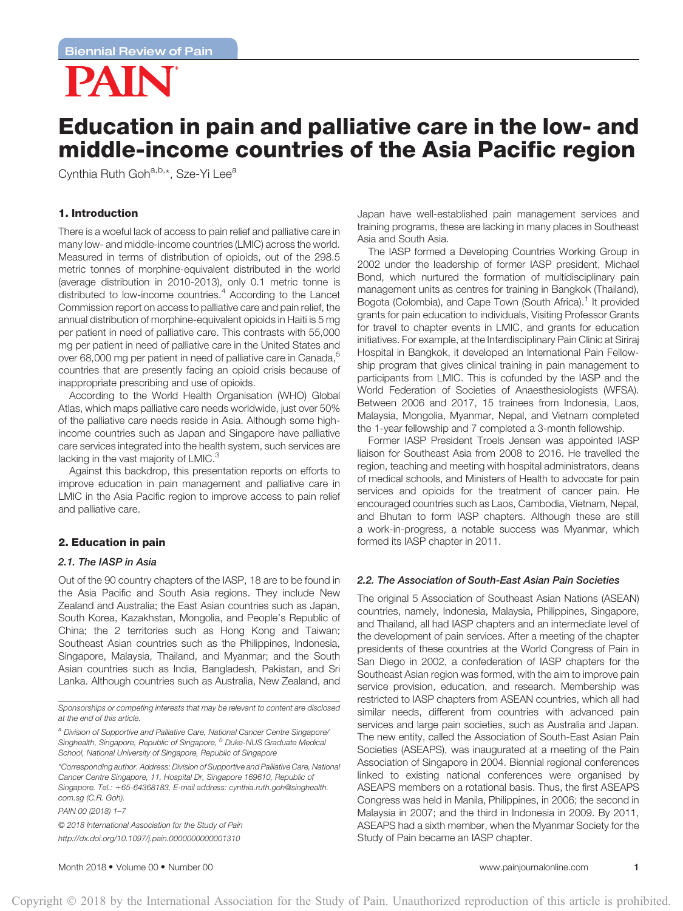

# Education in pain and palliative care in the low- and middle-income countries of the Asia Pacific region

Cynthia Ruth Goh<sup>a,b,\*</sup>, Sze-Yi Lee<sup>a</sup>

# 1. Introduction

There is a woeful lack of access to pain relief and palliative care in many low- and middle-income countries (LMIC) across the world. Measured in terms of distribution of opioids, out of the 298.5 metric tonnes of morphine-equivalent distributed in the world (average distribution in 2010-2013), only 0.1 metric tonne is distributed to low-income countries.<sup>4</sup> According to the Lancet Commission report on access to palliative care and pain relief, the annual distribution of morphine-equivalent opioids in Haiti is 5 mg per patient in need of palliative care. This contrasts with 55,000 mg per patient in need of palliative care in the United States and over 68,000 mg per patient in need of palliative care in Canada,<sup>5</sup> countries that are presently facing an opioid crisis because of inappropriate prescribing and use of opioids.

According to the World Health Organisation (WHO) Global Atlas, which maps palliative care needs worldwide, just over 50% of the palliative care needs reside in Asia. Although some highincome countries such as Japan and Singapore have palliative care services integrated into the health system, such services are lacking in the vast majority of  $LMIC.<sup>3</sup>$ 

Against this backdrop, this presentation reports on efforts to improve education in pain management and palliative care in LMIC in the Asia Pacific region to improve access to pain relief and palliative care.

# 2. Education in pain

# 2.1. The IASP in Asia

Out of the 90 country chapters of the IASP, 18 are to be found in the Asia Pacific and South Asia regions. They include New Zealand and Australia; the East Asian countries such as Japan, South Korea, Kazakhstan, Mongolia, and People's Republic of China; the 2 territories such as Hong Kong and Taiwan; Southeast Asian countries such as the Philippines, Indonesia, Singapore, Malaysia, Thailand, and Myanmar; and the South Asian countries such as India, Bangladesh, Pakistan, and Sri Lanka. Although countries such as Australia, New Zealand, and

*Sponsorships or competing interests that may be relevant to content are disclosed at the end of this article.*

*<sup>a</sup> Division of Supportive and Palliative Care, National Cancer Centre Singapore/ Singhealth, Singapore, Republic of Singapore, <sup>b</sup> Duke-NUS Graduate Medical School, National University of Singapore, Republic of Singapore*

*\*Corresponding author. Address: Division of Supportive and Palliative Care, National Cancer Centre Singapore, 11, Hospital Dr, Singapore 169610, Republic of Singapore. Tel.:* 1*65-64368183. E-mail address: cynthia.ruth.goh@singhealth. com.sg (C.R. Goh).*

*PAIN 00 (2018) 1–7*

© *2018 International Association for the Study of Pain http://dx.doi.org/10.1097/j.pain.0000000000001310*

Japan have well-established pain management services and training programs, these are lacking in many places in Southeast Asia and South Asia.

The IASP formed a Developing Countries Working Group in 2002 under the leadership of former IASP president, Michael Bond, which nurtured the formation of multidisciplinary pain management units as centres for training in Bangkok (Thailand), Bogota (Colombia), and Cape Town (South Africa).<sup>1</sup> It provided grants for pain education to individuals, Visiting Professor Grants for travel to chapter events in LMIC, and grants for education initiatives. For example, at the Interdisciplinary Pain Clinic at Siriraj Hospital in Bangkok, it developed an International Pain Fellowship program that gives clinical training in pain management to participants from LMIC. This is cofunded by the IASP and the World Federation of Societies of Anaesthesiologists (WFSA). Between 2006 and 2017, 15 trainees from Indonesia, Laos, Malaysia, Mongolia, Myanmar, Nepal, and Vietnam completed the 1-year fellowship and 7 completed a 3-month fellowship.

Former IASP President Troels Jensen was appointed IASP liaison for Southeast Asia from 2008 to 2016. He travelled the region, teaching and meeting with hospital administrators, deans of medical schools, and Ministers of Health to advocate for pain services and opioids for the treatment of cancer pain. He encouraged countries such as Laos, Cambodia, Vietnam, Nepal, and Bhutan to form IASP chapters. Although these are still a work-in-progress, a notable success was Myanmar, which formed its IASP chapter in 2011.

# 2.2. The Association of South-East Asian Pain Societies

The original 5 Association of Southeast Asian Nations (ASEAN) countries, namely, Indonesia, Malaysia, Philippines, Singapore, and Thailand, all had IASP chapters and an intermediate level of the development of pain services. After a meeting of the chapter presidents of these countries at the World Congress of Pain in San Diego in 2002, a confederation of IASP chapters for the Southeast Asian region was formed, with the aim to improve pain service provision, education, and research. Membership was restricted to IASP chapters from ASEAN countries, which all had similar needs, different from countries with advanced pain services and large pain societies, such as Australia and Japan. The new entity, called the Association of South-East Asian Pain Societies (ASEAPS), was inaugurated at a meeting of the Pain Association of Singapore in 2004. Biennial regional conferences linked to existing national conferences were organised by ASEAPS members on a rotational basis. Thus, the first ASEAPS Congress was held in Manila, Philippines, in 2006; the second in Malaysia in 2007; and the third in Indonesia in 2009. By 2011, ASEAPS had a sixth member, when the Myanmar Society for the Study of Pain became an IASP chapter.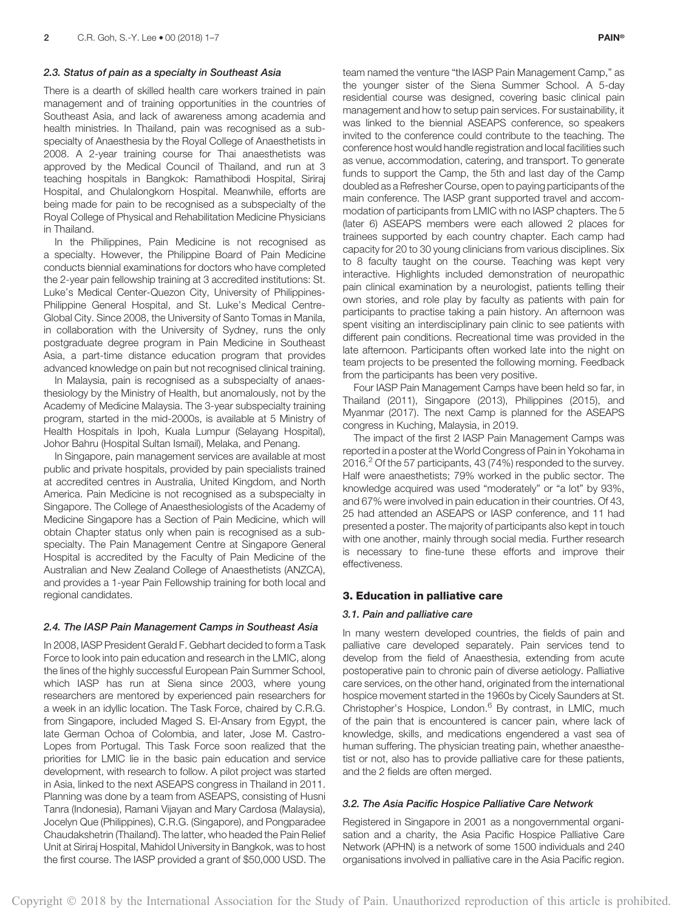#### 2.3. Status of pain as a specialty in Southeast Asia

There is a dearth of skilled health care workers trained in pain management and of training opportunities in the countries of Southeast Asia, and lack of awareness among academia and health ministries. In Thailand, pain was recognised as a subspecialty of Anaesthesia by the Royal College of Anaesthetists in 2008. A 2-year training course for Thai anaesthetists was approved by the Medical Council of Thailand, and run at 3 teaching hospitals in Bangkok: Ramathibodi Hospital, Siriraj Hospital, and Chulalongkorn Hospital. Meanwhile, efforts are being made for pain to be recognised as a subspecialty of the Royal College of Physical and Rehabilitation Medicine Physicians in Thailand.

In the Philippines, Pain Medicine is not recognised as a specialty. However, the Philippine Board of Pain Medicine conducts biennial examinations for doctors who have completed the 2-year pain fellowship training at 3 accredited institutions: St. Luke's Medical Center-Quezon City, University of Philippines-Philippine General Hospital, and St. Luke's Medical Centre-Global City. Since 2008, the University of Santo Tomas in Manila, in collaboration with the University of Sydney, runs the only postgraduate degree program in Pain Medicine in Southeast Asia, a part-time distance education program that provides advanced knowledge on pain but not recognised clinical training.

In Malaysia, pain is recognised as a subspecialty of anaesthesiology by the Ministry of Health, but anomalously, not by the Academy of Medicine Malaysia. The 3-year subspecialty training program, started in the mid-2000s, is available at 5 Ministry of Health Hospitals in Ipoh, Kuala Lumpur (Selayang Hospital), Johor Bahru (Hospital Sultan Ismail), Melaka, and Penang.

In Singapore, pain management services are available at most public and private hospitals, provided by pain specialists trained at accredited centres in Australia, United Kingdom, and North America. Pain Medicine is not recognised as a subspecialty in Singapore. The College of Anaesthesiologists of the Academy of Medicine Singapore has a Section of Pain Medicine, which will obtain Chapter status only when pain is recognised as a subspecialty. The Pain Management Centre at Singapore General Hospital is accredited by the Faculty of Pain Medicine of the Australian and New Zealand College of Anaesthetists (ANZCA), and provides a 1-year Pain Fellowship training for both local and regional candidates.

#### 2.4. The IASP Pain Management Camps in Southeast Asia

In 2008, IASP President Gerald F. Gebhart decided to form a Task Force to look into pain education and research in the LMIC, along the lines of the highly successful European Pain Summer School, which IASP has run at Siena since 2003, where young researchers are mentored by experienced pain researchers for a week in an idyllic location. The Task Force, chaired by C.R.G. from Singapore, included Maged S. El-Ansary from Egypt, the late German Ochoa of Colombia, and later, Jose M. Castro-Lopes from Portugal. This Task Force soon realized that the priorities for LMIC lie in the basic pain education and service development, with research to follow. A pilot project was started in Asia, linked to the next ASEAPS congress in Thailand in 2011. Planning was done by a team from ASEAPS, consisting of Husni Tanra (Indonesia), Ramani Vijayan and Mary Cardosa (Malaysia), Jocelyn Que (Philippines), C.R.G. (Singapore), and Pongparadee Chaudakshetrin (Thailand). The latter, who headed the Pain Relief Unit at Siriraj Hospital, Mahidol University in Bangkok, was to host the first course. The IASP provided a grant of \$50,000 USD. The

team named the venture "the IASP Pain Management Camp," as the younger sister of the Siena Summer School. A 5-day residential course was designed, covering basic clinical pain management and how to setup pain services. For sustainability, it was linked to the biennial ASEAPS conference, so speakers invited to the conference could contribute to the teaching. The conference host would handle registration and local facilities such as venue, accommodation, catering, and transport. To generate funds to support the Camp, the 5th and last day of the Camp doubled as a Refresher Course, open to paying participants of the main conference. The IASP grant supported travel and accommodation of participants from LMIC with no IASP chapters. The 5 (later 6) ASEAPS members were each allowed 2 places for trainees supported by each country chapter. Each camp had capacity for 20 to 30 young clinicians from various disciplines. Six to 8 faculty taught on the course. Teaching was kept very interactive. Highlights included demonstration of neuropathic pain clinical examination by a neurologist, patients telling their own stories, and role play by faculty as patients with pain for participants to practise taking a pain history. An afternoon was spent visiting an interdisciplinary pain clinic to see patients with different pain conditions. Recreational time was provided in the late afternoon. Participants often worked late into the night on team projects to be presented the following morning. Feedback from the participants has been very positive.

Four IASP Pain Management Camps have been held so far, in Thailand (2011), Singapore (2013), Philippines (2015), and Myanmar (2017). The next Camp is planned for the ASEAPS congress in Kuching, Malaysia, in 2019.

The impact of the first 2 IASP Pain Management Camps was reported in a poster at the World Congress of Pain in Yokohama in 2016.<sup>2</sup> Of the 57 participants, 43 (74%) responded to the survey. Half were anaesthetists; 79% worked in the public sector. The knowledge acquired was used "moderately" or "a lot" by 93%, and 67% were involved in pain education in their countries. Of 43, 25 had attended an ASEAPS or IASP conference, and 11 had presented a poster. The majority of participants also kept in touch with one another, mainly through social media. Further research is necessary to fine-tune these efforts and improve their effectiveness.

## 3. Education in palliative care

### 3.1. Pain and palliative care

In many western developed countries, the fields of pain and palliative care developed separately. Pain services tend to develop from the field of Anaesthesia, extending from acute postoperative pain to chronic pain of diverse aetiology. Palliative care services, on the other hand, originated from the international hospice movement started in the 1960s by Cicely Saunders at St. Christopher's Hospice, London.<sup>6</sup> By contrast, in LMIC, much of the pain that is encountered is cancer pain, where lack of knowledge, skills, and medications engendered a vast sea of human suffering. The physician treating pain, whether anaesthetist or not, also has to provide palliative care for these patients, and the 2 fields are often merged.

## 3.2. The Asia Pacific Hospice Palliative Care Network

Registered in Singapore in 2001 as a nongovernmental organisation and a charity, the Asia Pacific Hospice Palliative Care Network (APHN) is a network of some 1500 individuals and 240 organisations involved in palliative care in the Asia Pacific region.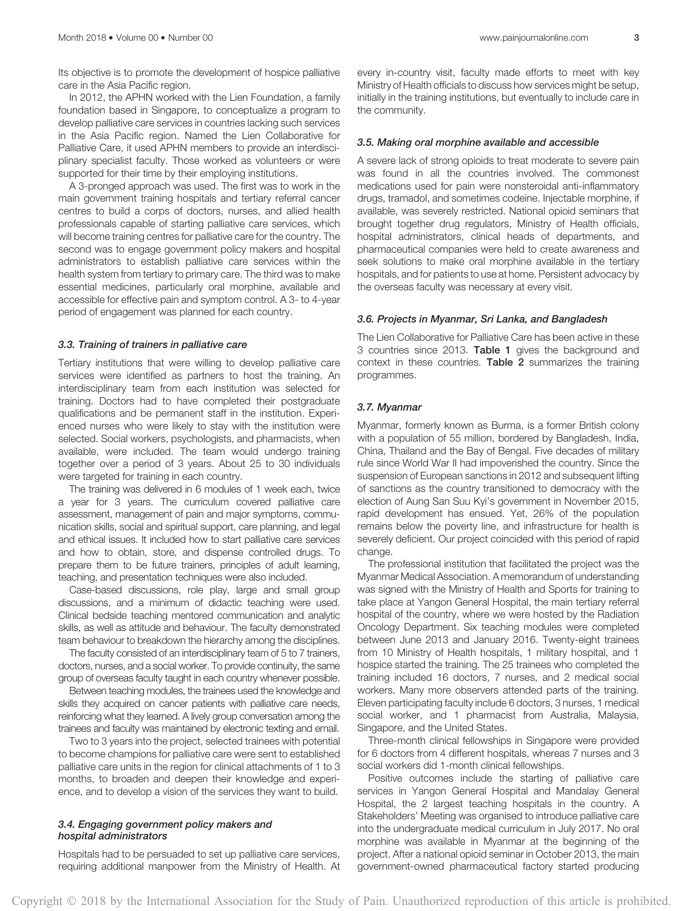Its objective is to promote the development of hospice palliative care in the Asia Pacific region.

In 2012, the APHN worked with the Lien Foundation, a family foundation based in Singapore, to conceptualize a program to develop palliative care services in countries lacking such services in the Asia Pacific region. Named the Lien Collaborative for Palliative Care, it used APHN members to provide an interdisciplinary specialist faculty. Those worked as volunteers or were supported for their time by their employing institutions.

A 3-pronged approach was used. The first was to work in the main government training hospitals and tertiary referral cancer centres to build a corps of doctors, nurses, and allied health professionals capable of starting palliative care services, which will become training centres for palliative care for the country. The second was to engage government policy makers and hospital administrators to establish palliative care services within the health system from tertiary to primary care. The third was to make essential medicines, particularly oral morphine, available and accessible for effective pain and symptom control. A 3- to 4-year period of engagement was planned for each country.

#### 3.3. Training of trainers in palliative care

Tertiary institutions that were willing to develop palliative care services were identified as partners to host the training. An interdisciplinary team from each institution was selected for training. Doctors had to have completed their postgraduate qualifications and be permanent staff in the institution. Experienced nurses who were likely to stay with the institution were selected. Social workers, psychologists, and pharmacists, when available, were included. The team would undergo training together over a period of 3 years. About 25 to 30 individuals were targeted for training in each country.

The training was delivered in 6 modules of 1 week each, twice a year for 3 years. The curriculum covered palliative care assessment, management of pain and major symptoms, communication skills, social and spiritual support, care planning, and legal and ethical issues. It included how to start palliative care services and how to obtain, store, and dispense controlled drugs. To prepare them to be future trainers, principles of adult learning, teaching, and presentation techniques were also included.

Case-based discussions, role play, large and small group discussions, and a minimum of didactic teaching were used. Clinical bedside teaching mentored communication and analytic skills, as well as attitude and behaviour. The faculty demonstrated team behaviour to breakdown the hierarchy among the disciplines.

The faculty consisted of an interdisciplinary team of 5 to 7 trainers, doctors, nurses, and a social worker. To provide continuity, the same group of overseas faculty taught in each country whenever possible.

Between teaching modules, the trainees used the knowledge and skills they acquired on cancer patients with palliative care needs, reinforcing what they learned. A lively group conversation among the trainees and faculty was maintained by electronic texting and email.

Two to 3 years into the project, selected trainees with potential to become champions for palliative care were sent to established palliative care units in the region for clinical attachments of 1 to 3 months, to broaden and deepen their knowledge and experience, and to develop a vision of the services they want to build.

## 3.4. Engaging government policy makers and hospital administrators

Hospitals had to be persuaded to set up palliative care services, requiring additional manpower from the Ministry of Health. At every in-country visit, faculty made efforts to meet with key Ministry of Health officials to discuss how services might be setup, initially in the training institutions, but eventually to include care in the community.

#### 3.5. Making oral morphine available and accessible

A severe lack of strong opioids to treat moderate to severe pain was found in all the countries involved. The commonest medications used for pain were nonsteroidal anti-inflammatory drugs, tramadol, and sometimes codeine. Injectable morphine, if available, was severely restricted. National opioid seminars that brought together drug regulators, Ministry of Health officials, hospital administrators, clinical heads of departments, and pharmaceutical companies were held to create awareness and seek solutions to make oral morphine available in the tertiary hospitals, and for patients to use at home. Persistent advocacy by the overseas faculty was necessary at every visit.

## 3.6. Projects in Myanmar, Sri Lanka, and Bangladesh

The Lien Collaborative for Palliative Care has been active in these 3 countries since 2013. Table 1 gives the background and context in these countries. Table 2 summarizes the training programmes.

#### 3.7. Myanmar

Myanmar, formerly known as Burma, is a former British colony with a population of 55 million, bordered by Bangladesh, India, China, Thailand and the Bay of Bengal. Five decades of military rule since World War II had impoverished the country. Since the suspension of European sanctions in 2012 and subsequent lifting of sanctions as the country transitioned to democracy with the election of Aung San Suu Kyi's government in November 2015, rapid development has ensued. Yet, 26% of the population remains below the poverty line, and infrastructure for health is severely deficient. Our project coincided with this period of rapid change.

The professional institution that facilitated the project was the Myanmar Medical Association. A memorandum of understanding was signed with the Ministry of Health and Sports for training to take place at Yangon General Hospital, the main tertiary referral hospital of the country, where we were hosted by the Radiation Oncology Department. Six teaching modules were completed between June 2013 and January 2016. Twenty-eight trainees from 10 Ministry of Health hospitals, 1 military hospital, and 1 hospice started the training. The 25 trainees who completed the training included 16 doctors, 7 nurses, and 2 medical social workers. Many more observers attended parts of the training. Eleven participating faculty include 6 doctors, 3 nurses, 1 medical social worker, and 1 pharmacist from Australia, Malaysia, Singapore, and the United States.

Three-month clinical fellowships in Singapore were provided for 6 doctors from 4 different hospitals, whereas 7 nurses and 3 social workers did 1-month clinical fellowships.

Positive outcomes include the starting of palliative care services in Yangon General Hospital and Mandalay General Hospital, the 2 largest teaching hospitals in the country. A Stakeholders' Meeting was organised to introduce palliative care into the undergraduate medical curriculum in July 2017. No oral morphine was available in Myanmar at the beginning of the project. After a national opioid seminar in October 2013, the main government-owned pharmaceutical factory started producing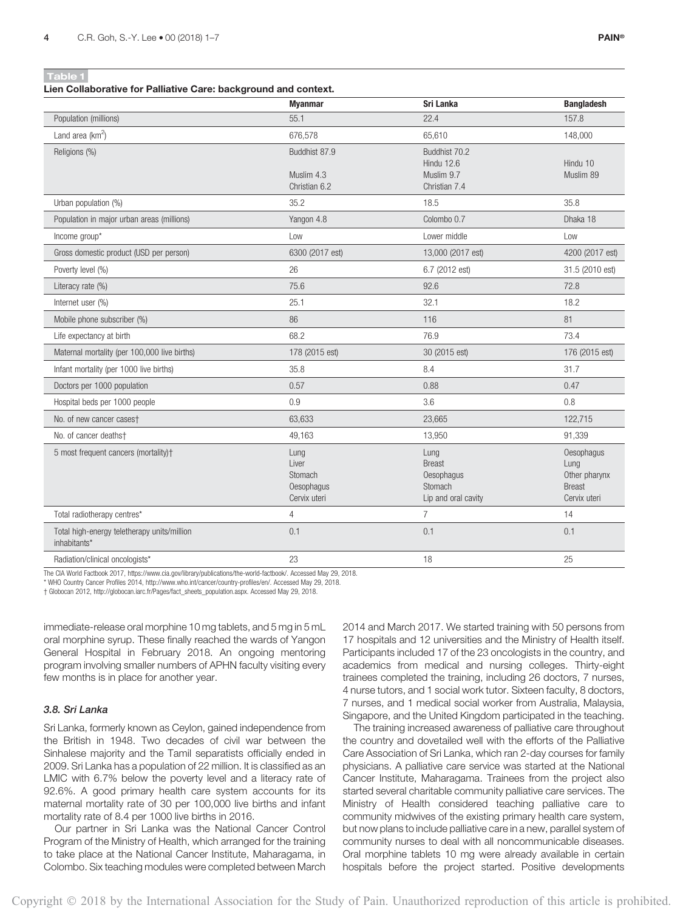Lien Collaborative for Palliative Care: background and context.

|                                                             | <b>Myanmar</b>                                         | Sri Lanka                                                             | <b>Bangladesh</b>                                                    |
|-------------------------------------------------------------|--------------------------------------------------------|-----------------------------------------------------------------------|----------------------------------------------------------------------|
| Population (millions)                                       | 55.1                                                   | 22.4                                                                  | 157.8                                                                |
| Land area $(km^2)$                                          | 676,578                                                | 65,610                                                                | 148,000                                                              |
| Religions (%)                                               | Buddhist 87.9<br>Muslim 4.3<br>Christian 6.2           | Buddhist 70.2<br><b>Hindu 12.6</b><br>Muslim 9.7<br>Christian 7.4     | Hindu 10<br>Muslim 89                                                |
| Urban population (%)                                        | 35.2                                                   | 18.5                                                                  | 35.8                                                                 |
| Population in major urban areas (millions)                  | Yangon 4.8                                             | Colombo 0.7                                                           | Dhaka 18                                                             |
| Income group*                                               | Low                                                    | Lower middle                                                          | Low                                                                  |
| Gross domestic product (USD per person)                     | 6300 (2017 est)                                        | 13,000 (2017 est)                                                     | 4200 (2017 est)                                                      |
| Poverty level (%)                                           | 26                                                     | 6.7 (2012 est)                                                        | 31.5 (2010 est)                                                      |
| Literacy rate (%)                                           | 75.6                                                   | 92.6                                                                  | 72.8                                                                 |
| Internet user (%)                                           | 25.1                                                   | 32.1                                                                  | 18.2                                                                 |
| Mobile phone subscriber (%)                                 | 86                                                     | 116                                                                   | 81                                                                   |
| Life expectancy at birth                                    | 68.2                                                   | 76.9                                                                  | 73.4                                                                 |
| Maternal mortality (per 100,000 live births)                | 178 (2015 est)                                         | 30 (2015 est)                                                         | 176 (2015 est)                                                       |
| Infant mortality (per 1000 live births)                     | 35.8                                                   | 8.4                                                                   | 31.7                                                                 |
| Doctors per 1000 population                                 | 0.57                                                   | 0.88                                                                  | 0.47                                                                 |
| Hospital beds per 1000 people                               | 0.9                                                    | 3.6                                                                   | 0.8                                                                  |
| No. of new cancer cases†                                    | 63,633                                                 | 23,665                                                                | 122,715                                                              |
| No. of cancer deathst                                       | 49,163                                                 | 13,950                                                                | 91,339                                                               |
| 5 most frequent cancers (mortality)+                        | Lung<br>Liver<br>Stomach<br>Oesophagus<br>Cervix uteri | Lung<br><b>Breast</b><br>Oesophagus<br>Stomach<br>Lip and oral cavity | Oesophagus<br>Lung<br>Other pharynx<br><b>Breast</b><br>Cervix uteri |
| Total radiotherapy centres*                                 | $\overline{4}$                                         | $\overline{7}$                                                        | 14                                                                   |
| Total high-energy teletherapy units/million<br>inhabitants* | 0.1                                                    | 0.1                                                                   | 0.1                                                                  |
| Radiation/clinical oncologists*                             | 23                                                     | 18                                                                    | 25                                                                   |

The CIA World Factbook 2017, https://www.cia.gov/library/publications/the-world-factbook/. Accessed May 29, 2018.

\* WHO Country Cancer Profiles 2014, http://www.who.int/cancer/country-profiles/en/. Accessed May 29, 2018.

† Globocan 2012, http://globocan.iarc.fr/Pages/fact\_sheets\_population.aspx. Accessed May 29, 2018.

immediate-release oral morphine 10 mg tablets, and 5 mg in 5 mL oral morphine syrup. These finally reached the wards of Yangon General Hospital in February 2018. An ongoing mentoring program involving smaller numbers of APHN faculty visiting every few months is in place for another year.

## 3.8. Sri Lanka

Sri Lanka, formerly known as Ceylon, gained independence from the British in 1948. Two decades of civil war between the Sinhalese majority and the Tamil separatists officially ended in 2009. Sri Lanka has a population of 22 million. It is classified as an LMIC with 6.7% below the poverty level and a literacy rate of 92.6%. A good primary health care system accounts for its maternal mortality rate of 30 per 100,000 live births and infant mortality rate of 8.4 per 1000 live births in 2016.

Our partner in Sri Lanka was the National Cancer Control Program of the Ministry of Health, which arranged for the training to take place at the National Cancer Institute, Maharagama, in Colombo. Six teaching modules were completed between March 2014 and March 2017. We started training with 50 persons from 17 hospitals and 12 universities and the Ministry of Health itself. Participants included 17 of the 23 oncologists in the country, and academics from medical and nursing colleges. Thirty-eight trainees completed the training, including 26 doctors, 7 nurses, 4 nurse tutors, and 1 social work tutor. Sixteen faculty, 8 doctors, 7 nurses, and 1 medical social worker from Australia, Malaysia, Singapore, and the United Kingdom participated in the teaching.

The training increased awareness of palliative care throughout the country and dovetailed well with the efforts of the Palliative Care Association of Sri Lanka, which ran 2-day courses for family physicians. A palliative care service was started at the National Cancer Institute, Maharagama. Trainees from the project also started several charitable community palliative care services. The Ministry of Health considered teaching palliative care to community midwives of the existing primary health care system, but now plans to include palliative care in a new, parallel system of community nurses to deal with all noncommunicable diseases. Oral morphine tablets 10 mg were already available in certain hospitals before the project started. Positive developments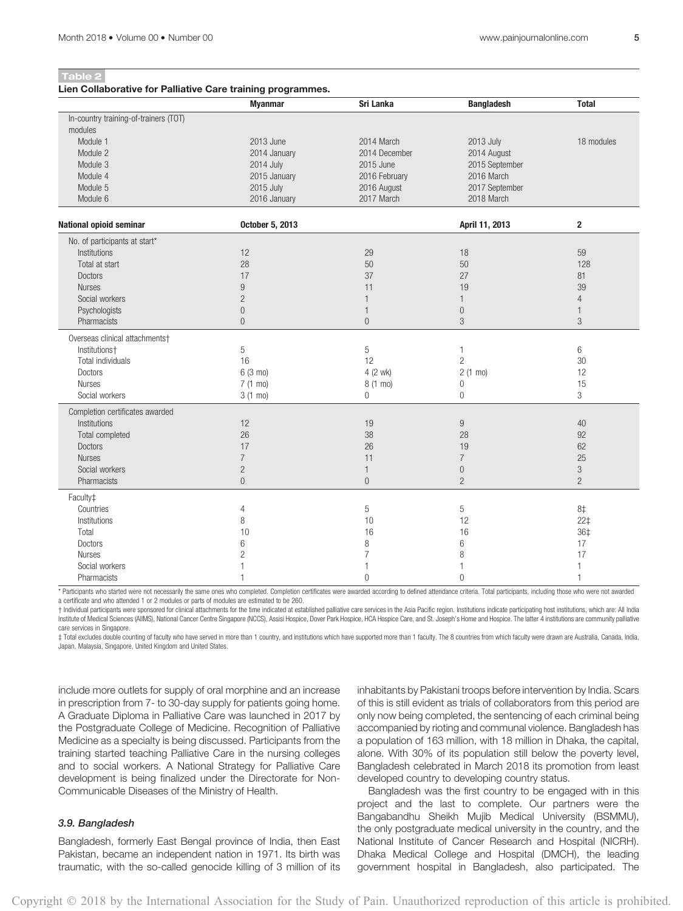Table 2

#### Lien Collaborative for Palliative Care training programmes.

|                                       | <b>Myanmar</b>    | Sri Lanka      | <b>Bangladesh</b> | <b>Total</b>   |
|---------------------------------------|-------------------|----------------|-------------------|----------------|
| In-country training-of-trainers (TOT) |                   |                |                   |                |
| modules                               |                   |                |                   |                |
| Module 1                              | 2013 June         | 2014 March     | 2013 July         | 18 modules     |
| Module 2                              | 2014 January      | 2014 December  | 2014 August       |                |
| Module 3                              | 2014 July         | 2015 June      | 2015 September    |                |
| Module 4                              | 2015 January      | 2016 February  | 2016 March        |                |
| Module 5                              | 2015 July         | 2016 August    | 2017 September    |                |
| Module 6                              | 2016 January      | 2017 March     | 2018 March        |                |
| National opioid seminar               | October 5, 2013   |                | April 11, 2013    | $\mathbf{2}$   |
|                                       |                   |                |                   |                |
| No. of participants at start*         |                   |                |                   |                |
| Institutions                          | 12                | 29             | 18                | 59             |
| Total at start                        | 28                | 50             | 50                | 128            |
| <b>Doctors</b>                        | 17                | 37             | 27                | 81             |
| <b>Nurses</b>                         | 9                 | 11             | 19                | 39             |
| Social workers                        | $\sqrt{2}$        | $\mathbf{1}$   | $\mathbf{1}$      | $\overline{4}$ |
| Psychologists                         | $\overline{0}$    | $\mathbf{1}$   | $\boldsymbol{0}$  | $\mathbf{1}$   |
| Pharmacists                           | $\overline{0}$    | $\overline{0}$ | 3                 | 3              |
| Overseas clinical attachments†        |                   |                |                   |                |
| Institutions+                         | 5                 | 5              | $\mathbf{1}$      | 6              |
| Total individuals                     | 16                | 12             | $\overline{c}$    | 30             |
| <b>Doctors</b>                        | 6 (3 mo)          | 4 (2 wk)       | $2(1 \text{ mo})$ | 12             |
| <b>Nurses</b>                         | 7 (1 mo)          | 8 (1 mo)       | $\mathbf 0$       | 15             |
| Social workers                        | $3(1 \text{ mo})$ | $\overline{0}$ | $\overline{0}$    | 3              |
| Completion certificates awarded       |                   |                |                   |                |
| Institutions                          | 12                | 19             | 9                 | 40             |
| Total completed                       | 26                | 38             | 28                | 92             |
| <b>Doctors</b>                        | 17                | 26             | 19                | 62             |
| <b>Nurses</b>                         | $\overline{7}$    | 11             | $\overline{7}$    | 25             |
| Social workers                        | $\overline{c}$    | $\mathbf{1}$   | $\boldsymbol{0}$  | $\sqrt{3}$     |
| Pharmacists                           | $\Omega$          | $\overline{0}$ | $\overline{c}$    | $\overline{2}$ |
| Faculty <sup>±</sup>                  |                   |                |                   |                |
| Countries                             | $\overline{4}$    | 5              | 5                 | 8‡             |
| Institutions                          | 8                 | 10             | 12                | $22+$          |
| Total                                 | 10                | 16             | 16                | 36‡            |
| <b>Doctors</b>                        | 6                 | 8              | 6                 | 17             |
| <b>Nurses</b>                         | $\overline{c}$    | $\overline{7}$ | 8                 | 17             |
| Social workers                        |                   | 1              | 1                 | $\mathbf{1}$   |
| Pharmacists                           | 1                 | $\overline{0}$ | $\overline{0}$    | $\mathbf{1}$   |
|                                       |                   |                |                   |                |

\* Participants who started were not necessarily the same ones who completed. Completion certificates were awarded according to defined attendance criteria. Total participants, including those who were not awarded a certificate and who attended 1 or 2 modules or parts of modules are estimated to be 260.

+ Individual participants were sponsored for clinical attachments for the time indicated at established palliative care services in the Asia Pacific region. Institutions indicate participating host institutions, which are: Institute of Medical Sciences (AIIMS), National Cancer Centre Singapore (NCCS), Assisi Hospice, Dover Park Hospice, HCA Hospice Care, and St. Joseph's Home and Hospice. The latter 4 institutions are community palliative care services in Singapore.

‡ Total excludes double counting of faculty who have served in more than 1 country, and institutions which have supported more than 1 faculty. The 8 countries from which faculty were drawn are Australia, Canada, India, Japan, Malaysia, Singapore, United Kingdom and United States.

include more outlets for supply of oral morphine and an increase in prescription from 7- to 30-day supply for patients going home. A Graduate Diploma in Palliative Care was launched in 2017 by the Postgraduate College of Medicine. Recognition of Palliative Medicine as a specialty is being discussed. Participants from the training started teaching Palliative Care in the nursing colleges and to social workers. A National Strategy for Palliative Care development is being finalized under the Directorate for Non-Communicable Diseases of the Ministry of Health.

# 3.9. Bangladesh

Bangladesh, formerly East Bengal province of India, then East Pakistan, became an independent nation in 1971. Its birth was traumatic, with the so-called genocide killing of 3 million of its inhabitants by Pakistani troops before intervention by India. Scars of this is still evident as trials of collaborators from this period are only now being completed, the sentencing of each criminal being accompanied by rioting and communal violence. Bangladesh has a population of 163 million, with 18 million in Dhaka, the capital, alone. With 30% of its population still below the poverty level, Bangladesh celebrated in March 2018 its promotion from least developed country to developing country status.

Bangladesh was the first country to be engaged with in this project and the last to complete. Our partners were the Bangabandhu Sheikh Mujib Medical University (BSMMU), the only postgraduate medical university in the country, and the National Institute of Cancer Research and Hospital (NICRH). Dhaka Medical College and Hospital (DMCH), the leading government hospital in Bangladesh, also participated. The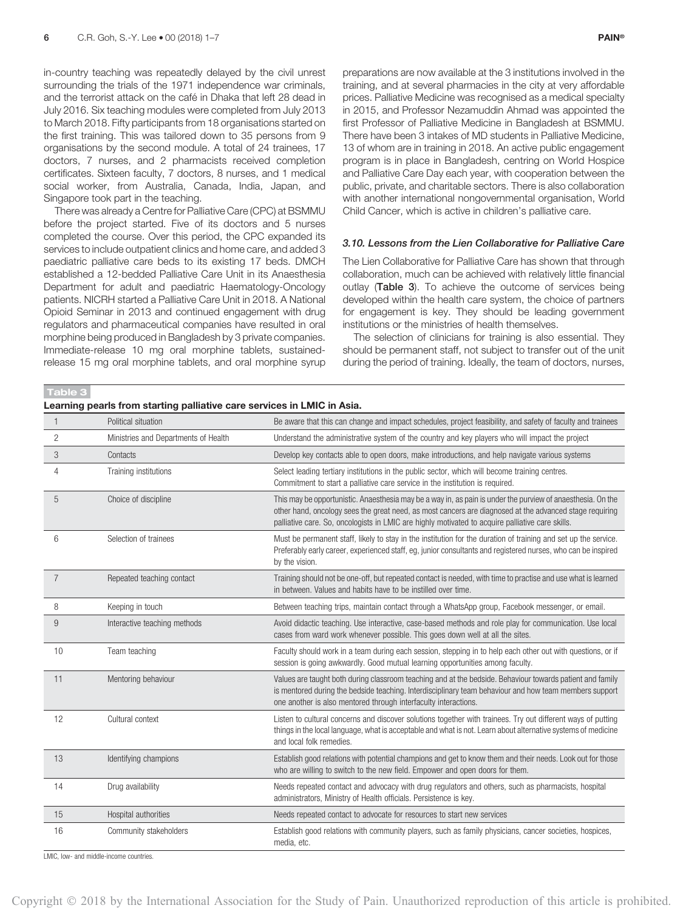in-country teaching was repeatedly delayed by the civil unrest surrounding the trials of the 1971 independence war criminals. and the terrorist attack on the café in Dhaka that left 28 dead in July 2016. Six teaching modules were completed from July 2013 to March 2018. Fifty participants from 18 organisations started on the first training. This was tailored down to 35 persons from 9 organisations by the second module. A total of 24 trainees, 17 doctors, 7 nurses, and 2 pharmacists received completion certificates. Sixteen faculty, 7 doctors, 8 nurses, and 1 medical social worker, from Australia, Canada, India, Japan, and Singapore took part in the teaching.

There was already a Centre for Palliative Care (CPC) at BSMMU before the project started. Five of its doctors and 5 nurses completed the course. Over this period, the CPC expanded its services to include outpatient clinics and home care, and added 3 paediatric palliative care beds to its existing 17 beds. DMCH established a 12-bedded Palliative Care Unit in its Anaesthesia Department for adult and paediatric Haematology-Oncology patients. NICRH started a Palliative Care Unit in 2018. A National Opioid Seminar in 2013 and continued engagement with drug regulators and pharmaceutical companies have resulted in oral morphine being produced in Bangladesh by 3 private companies. Immediate-release 10 mg oral morphine tablets, sustainedrelease 15 mg oral morphine tablets, and oral morphine syrup

Learning pearls from starting palliative care services in LMIC in Asia.

preparations are now available at the 3 institutions involved in the training, and at several pharmacies in the city at very affordable prices. Palliative Medicine was recognised as a medical specialty in 2015, and Professor Nezamuddin Ahmad was appointed the first Professor of Palliative Medicine in Bangladesh at BSMMU. There have been 3 intakes of MD students in Palliative Medicine, 13 of whom are in training in 2018. An active public engagement program is in place in Bangladesh, centring on World Hospice and Palliative Care Day each year, with cooperation between the public, private, and charitable sectors. There is also collaboration with another international nongovernmental organisation, World Child Cancer, which is active in children's palliative care.

## 3.10. Lessons from the Lien Collaborative for Palliative Care

The Lien Collaborative for Palliative Care has shown that through collaboration, much can be achieved with relatively little financial outlay (Table 3). To achieve the outcome of services being developed within the health care system, the choice of partners for engagement is key. They should be leading government institutions or the ministries of health themselves.

The selection of clinicians for training is also essential. They should be permanent staff, not subject to transfer out of the unit during the period of training. Ideally, the team of doctors, nurses,

Table 3

| $\mathbf{1}$   | Political situation                  | Be aware that this can change and impact schedules, project feasibility, and safety of faculty and trainees                                                                                                                                                                                                                |
|----------------|--------------------------------------|----------------------------------------------------------------------------------------------------------------------------------------------------------------------------------------------------------------------------------------------------------------------------------------------------------------------------|
| $\overline{c}$ | Ministries and Departments of Health | Understand the administrative system of the country and key players who will impact the project                                                                                                                                                                                                                            |
| 3              | Contacts                             | Develop key contacts able to open doors, make introductions, and help navigate various systems                                                                                                                                                                                                                             |
| 4              | Training institutions                | Select leading tertiary institutions in the public sector, which will become training centres.<br>Commitment to start a palliative care service in the institution is required.                                                                                                                                            |
| 5              | Choice of discipline                 | This may be opportunistic. Anaesthesia may be a way in, as pain is under the purview of anaesthesia. On the<br>other hand, oncology sees the great need, as most cancers are diagnosed at the advanced stage requiring<br>palliative care. So, oncologists in LMIC are highly motivated to acquire palliative care skills. |
| 6              | Selection of trainees                | Must be permanent staff, likely to stay in the institution for the duration of training and set up the service.<br>Preferably early career, experienced staff, eg, junior consultants and registered nurses, who can be inspired<br>by the vision.                                                                         |
| $\overline{7}$ | Repeated teaching contact            | Training should not be one-off, but repeated contact is needed, with time to practise and use what is learned<br>in between. Values and habits have to be instilled over time.                                                                                                                                             |
| 8              | Keeping in touch                     | Between teaching trips, maintain contact through a WhatsApp group, Facebook messenger, or email.                                                                                                                                                                                                                           |
| 9              | Interactive teaching methods         | Avoid didactic teaching. Use interactive, case-based methods and role play for communication. Use local<br>cases from ward work whenever possible. This goes down well at all the sites.                                                                                                                                   |
| 10             | Team teaching                        | Faculty should work in a team during each session, stepping in to help each other out with questions, or if<br>session is going awkwardly. Good mutual learning opportunities among faculty.                                                                                                                               |
| 11             | Mentoring behaviour                  | Values are taught both during classroom teaching and at the bedside. Behaviour towards patient and family<br>is mentored during the bedside teaching. Interdisciplinary team behaviour and how team members support<br>one another is also mentored through interfaculty interactions.                                     |
| 12             | Cultural context                     | Listen to cultural concerns and discover solutions together with trainees. Try out different ways of putting<br>things in the local language, what is acceptable and what is not. Learn about alternative systems of medicine<br>and local folk remedies.                                                                  |
| 13             | Identifying champions                | Establish good relations with potential champions and get to know them and their needs. Look out for those<br>who are willing to switch to the new field. Empower and open doors for them.                                                                                                                                 |
| 14             | Drug availability                    | Needs repeated contact and advocacy with drug regulators and others, such as pharmacists, hospital<br>administrators, Ministry of Health officials. Persistence is key.                                                                                                                                                    |
| 15             | Hospital authorities                 | Needs repeated contact to advocate for resources to start new services                                                                                                                                                                                                                                                     |
| 16             | Community stakeholders               | Establish good relations with community players, such as family physicians, cancer societies, hospices,<br>media, etc.                                                                                                                                                                                                     |

LMIC, low- and middle-income countries.

Copyright 2018 by the International Association for the Study of Pain. Unauthorized reproduction of this article is prohibited.